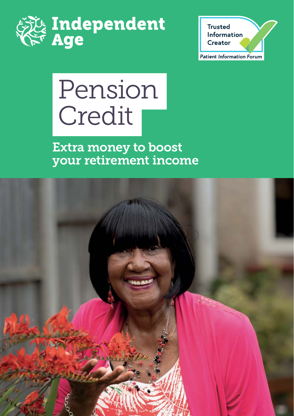



# Pension Credit

Extra money to boost your retirement income

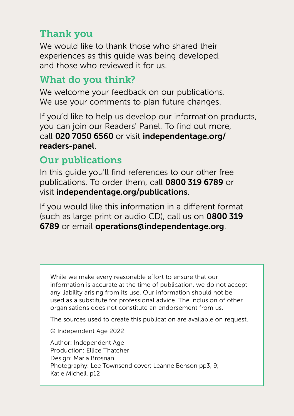#### Thank you

We would like to thank those who shared their experiences as this guide was being developed, and those who reviewed it for us.

#### What do you think?

We welcome your feedback on our publications. We use your comments to plan future changes.

If you'd like to help us develop our information products, you can join our Readers' Panel. To find out more, call 020 7050 6560 or visit [independentage.org/](https://www.independentage.org/information/join-our-readers-panel) readers-panel.

#### Our publications

In this guide you'll find references to our other free publications. To order them, call 0800 319 6789 or visit [independentage.org/publications](http://independentage.org/publications).

If you would like this information in a different format (such as large print or audio CD), call us on 0800 319 6789 or email [operations@independentage.org](mailto:operations@independentage.org).

While we make every reasonable effort to ensure that our information is accurate at the time of publication, we do not accept any liability arising from its use. Our information should not be used as a substitute for professional advice. The inclusion of other organisations does not constitute an endorsement from us.

The sources used to create this publication are available on request.

© Independent Age 2022

Author: Independent Age Production: Ellice Thatcher Design: Maria Brosnan Photography: Lee Townsend cover; Leanne Benson pp3, 9; Katie Michell, p12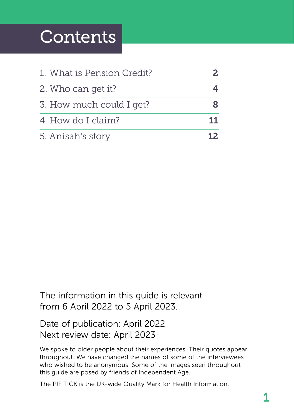# **Contents**

| 1. What is Pension Credit?<br>2. Who can get it?<br>3. How much could I get? |  |                    |    |
|------------------------------------------------------------------------------|--|--------------------|----|
|                                                                              |  | 4. How do I claim? | 11 |
|                                                                              |  | 5. Anisah's story  |    |

The information in this guide is relevant from 6 April 2022 to 5 April 2023.

#### Date of publication: April 2022 Next review date: April 2023

We spoke to older people about their experiences. Their quotes appear throughout. We have changed the names of some of the interviewees who wished to be anonymous. Some of the images seen throughout this guide are posed by friends of Independent Age.

The PIF TICK is the UK-wide Quality Mark for Health Information.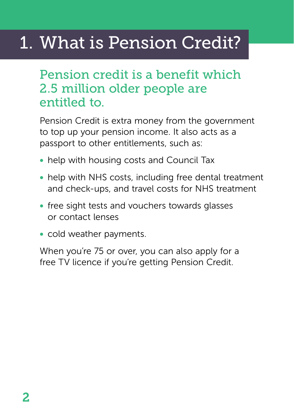# <span id="page-3-0"></span>1. What is Pension Credit?

## Pension credit is a benefit which 2.5 million older people are entitled to.

Pension Credit is extra money from the government to top up your pension income. It also acts as a passport to other entitlements, such as:

- help with housing costs and Council Tax
- help with NHS costs, including free dental treatment and check-ups, and travel costs for NHS treatment
- free sight tests and vouchers towards glasses or contact lenses
- cold weather payments.

When you're 75 or over, you can also apply for a free TV licence if you're getting Pension Credit.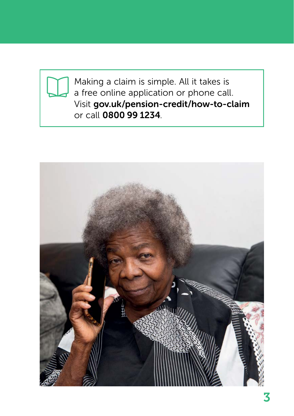

Making a claim is simple. All it takes is a free online application or phone call. Visit [gov.uk/pension-credit/how-to-claim](http://gov.uk/pension-credit/how-to-claim) or call 0800 99 1234.

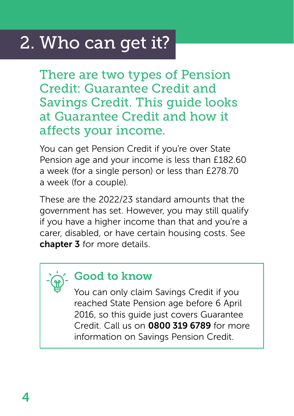# <span id="page-5-0"></span>2. Who can get it?

There are two types of Pension Credit: Guarantee Credit and Savings Credit. This guide looks at Guarantee Credit and how it affects your income.

You can get Pension Credit if you're over State Pension age and your income is less than £182.60 a week (for a single person) or less than £278.70 a week (for a couple).

These are the 2022/23 standard amounts that the government has set. However, you may still qualify if you have a higher income than that and you're a carer, disabled, or have certain housing costs. See [chapter 3](#page-9-0) for more details.



#### Good to know

You can only claim Savings Credit if you reached State Pension age before 6 April 2016, so this guide just covers Guarantee Credit. Call us on 0800 319 6789 for more information on Savings Pension Credit.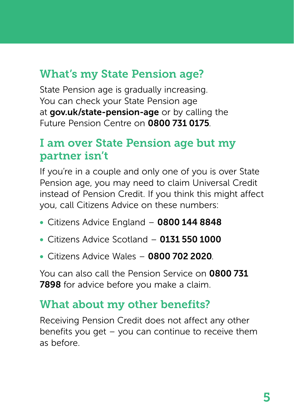### What's my State Pension age?

State Pension age is gradually increasing. You can check your State Pension age at [gov.uk/state-pension-age](http://gov.uk/state-pension-age) or by calling the Future Pension Centre on 0800 731 0175.

#### I am over State Pension age but my partner isn't

If you're in a couple and only one of you is over State Pension age, you may need to claim Universal Credit instead of Pension Credit. If you think this might affect you, call Citizens Advice on these numbers:

- Citizens Advice England 0800 144 8848
- $\bullet$  Citizens Advice Scotland  $-$  0131 550 1000
- Citizens Advice Wales 0800 702 2020.

You can also call the Pension Service on 0800 731 7898 for advice before you make a claim.

#### What about my other benefits?

Receiving Pension Credit does not affect any other benefits you get – you can continue to receive them as before.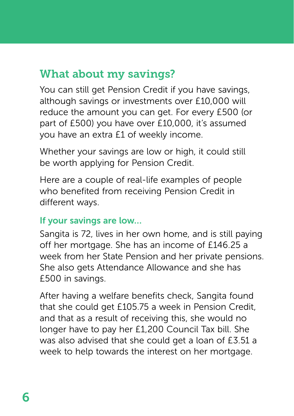#### What about my savings?

You can still get Pension Credit if you have savings, although savings or investments over £10,000 will reduce the amount you can get. For every £500 (or part of £500) you have over £10,000, it's assumed you have an extra £1 of weekly income.

Whether your savings are low or high, it could still be worth applying for Pension Credit.

Here are a couple of real-life examples of people who benefited from receiving Pension Credit in different ways.

#### If your savings are low…

Sangita is 72, lives in her own home, and is still paying off her mortgage. She has an income of £146.25 a week from her State Pension and her private pensions. She also gets Attendance Allowance and she has £500 in savings.

After having a welfare benefits check, Sangita found that she could get £105.75 a week in Pension Credit, and that as a result of receiving this, she would no longer have to pay her £1,200 Council Tax bill. She was also advised that she could get a loan of £3.51 a week to help towards the interest on her mortgage.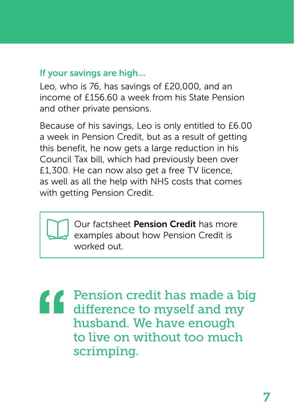#### If your savings are high…

Leo, who is 76, has savings of £20,000, and an income of £156.60 a week from his State Pension and other private pensions.

Because of his savings, Leo is only entitled to £6.00 a week in Pension Credit, but as a result of getting this benefit, he now gets a large reduction in his Council Tax bill, which had previously been over £1,300. He can now also get a free TV licence, as well as all the help with NHS costs that comes with getting Pension Credit.

> Our factsheet [Pension Credit](https://www.independentage.org/get-advice/pension-credit) has more examples about how Pension Credit is worked out.

Pension credit has made a big difference to myself and my husband. We have enough to live on without too much scrimping.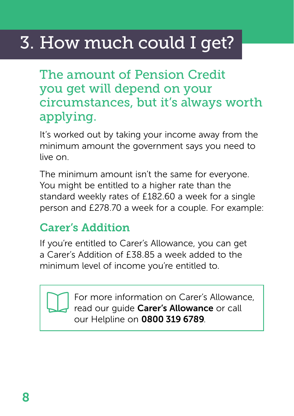# <span id="page-9-0"></span>3. How much could I get?

The amount of Pension Credit you get will depend on your circumstances, but it's always worth applying.

It's worked out by taking your income away from the minimum amount the government says you need to live on.

The minimum amount isn't the same for everyone. You might be entitled to a higher rate than the standard weekly rates of £182.60 a week for a single person and £278.70 a week for a couple. For example:

### Carer's Addition

If you're entitled to Carer's Allowance, you can get a Carer's Addition of £38.85 a week added to the minimum level of income you're entitled to.

> For more information on Carer's Allowance, read our quide [Carer's Allowance](https://www.independentage.org/get-advice/carers-allowance) or call our Helpline on 0800 319 6789.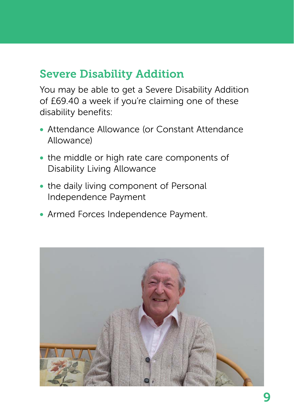### Severe Disability Addition

You may be able to get a Severe Disability Addition of £69.40 a week if you're claiming one of these disability benefits:

- Attendance Allowance (or Constant Attendance Allowance)
- the middle or high rate care components of Disability Living Allowance
- the daily living component of Personal Independence Payment
- Armed Forces Independence Payment.

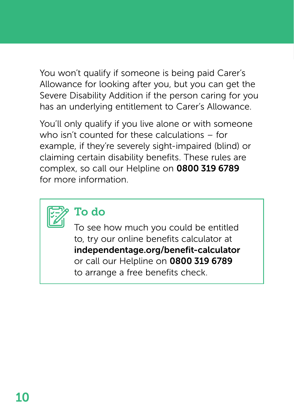You won't qualify if someone is being paid Carer's Allowance for looking after you, but you can get the Severe Disability Addition if the person caring for you has an underlying entitlement to Carer's Allowance.

You'll only qualify if you live alone or with someone who isn't counted for these calculations – for example, if they're severely sight-impaired (blind) or claiming certain disability benefits. These rules are complex, so call our Helpline on 0800 319 6789 for more information.



### To do

To see how much you could be entitled to, try our online benefits calculator at [independentage.org/benefit-calculator](http://independentage.org/benefit-calculator) or call our Helpline on 0800 319 6789 to arrange a free benefits check.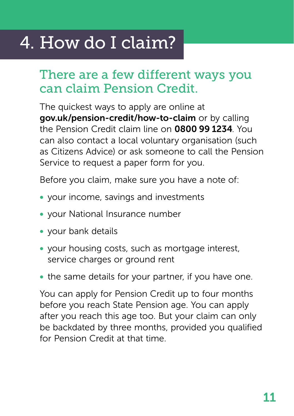# <span id="page-12-0"></span>4. How do I claim?

# There are a few different ways you can claim Pension Credit.

The quickest ways to apply are online at [gov.uk/pension-credit/how-to-claim](http://gov.uk/pension-credit/how-to-claim) or by calling the Pension Credit claim line on 0800 99 1234. You can also contact a local voluntary organisation (such as Citizens Advice) or ask someone to call the Pension Service to request a paper form for you.

Before you claim, make sure you have a note of:

- your income, savings and investments
- your National Insurance number
- your bank details
- your housing costs, such as mortgage interest, service charges or ground rent
- the same details for your partner, if you have one.

You can apply for Pension Credit up to four months before you reach State Pension age. You can apply after you reach this age too. But your claim can only be backdated by three months, provided you qualified for Pension Credit at that time.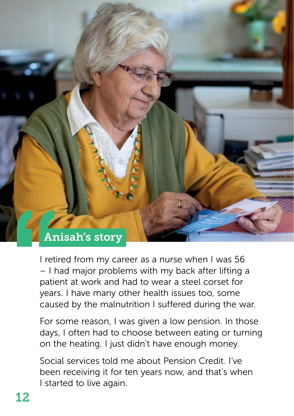

I retired from my career as a nurse when I was 56 – I had major problems with my back after lifting a patient at work and had to wear a steel corset for years. I have many other health issues too, some caused by the malnutrition I suffered during the war.

For some reason, I was given a low pension. In those days, I often had to choose between eating or turning on the heating. I just didn't have enough money.

Social services told me about Pension Credit. I've been receiving it for ten years now, and that's when I started to live again.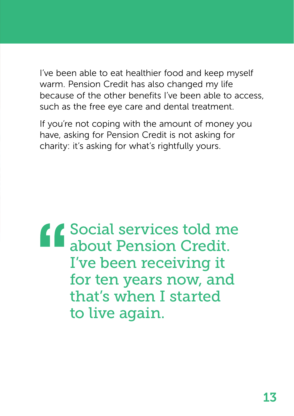I've been able to eat healthier food and keep myself warm. Pension Credit has also changed my life because of the other benefits I've been able to access, such as the free eye care and dental treatment.

If you're not coping with the amount of money you have, asking for Pension Credit is not asking for charity: it's asking for what's rightfully yours.

Social services told me about Pension Credit. I've been receiving it for ten years now, and that's when I started to live again.